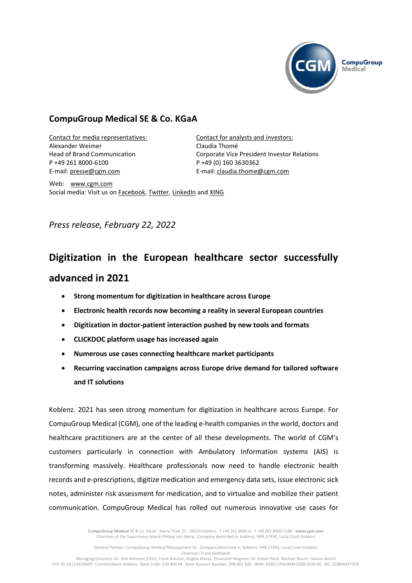

## **CompuGroup Medical SE & Co. KGaA**

Contact for media representatives: Alexander Weimer Head of Brand Communication P +49 261 8000-6100 E-mail: [presse@cgm.com](mailto:press@cgm.com)

Contact for analysts and investors: Claudia Thomé Corporate Vice President Investor Relations P +49 (0) 160 3630362 E-mail: [claudia.thome@cgm.com](mailto:claudia.thome@cgm.com)

Web: [www.cgm.com](http://www.cgm.com/) Social media: Visit us on [Facebook,](https://www.facebook.com/CompuGroup-Medical-SE-Co-KGaA-112275907098431) [Twitter,](https://twitter.com/CGMeHealth) [LinkedIn](https://www.linkedin.com/company/1453025/) and [XING](https://www.xing.com/companies/compugroupmedicalag)

*Press release, February 22, 2022*

## **Digitization in the European healthcare sector successfully advanced in 2021**

- **Strong momentum for digitization in healthcare across Europe**
- **Electronic health records now becoming a reality in several European countries**
- **Digitization in doctor-patient interaction pushed by new tools and formats**
- **CLICKDOC platform usage has increased again**
- **Numerous use cases connecting healthcare market participants**
- **Recurring vaccination campaigns across Europe drive demand for tailored software and IT solutions**

Koblenz. 2021 has seen strong momentum for digitization in healthcare across Europe. For CompuGroup Medical (CGM), one of the leading e-health companies in the world, doctors and healthcare practitioners are at the center of all these developments. The world of CGM's customers particularly in connection with Ambulatory Information systems (AIS) is transforming massively. Healthcare professionals now need to handle electronic health records and e-prescriptions, digitize medication and emergency data sets, issue electronic sick notes, administer risk assessment for medication, and to virtualize and mobilize their patient communication. CompuGroup Medical has rolled out numerous innovative use cases for

> **CompuGroup Medical** SE & Co. KGaA · Maria Trost 21 · 56070 Koblenz · T +49 261 8000-0 · F +49 261 8000-1166 · **www.cgm.com** Chairman of the Supervisory Board: Philipp von Ilberg · Company domiciled in: Koblenz, HRB 27430, Local Court Koblenz

General Partner: CompuGroup Medical Management SE · Company domiciled in: Koblenz, HRB 27343, Local Court Koblenz Chairman: Frank Gotthardt

Managing Directors: Dr. Dirk Wössner (CEO), Frank Brecher, Angela Mazza, Emanuele Mugnani, Dr. Eckart Pech, Michael Rauch, Hannes Reichl VAT ID: DE114134699 · Commerzbank Koblenz · Bank Code: 570 400 44 · Bank Account Number: 208 002 600 · IBAN: DE60 5704 0044 0208 0026 00 · BIC: COBADEFFXXX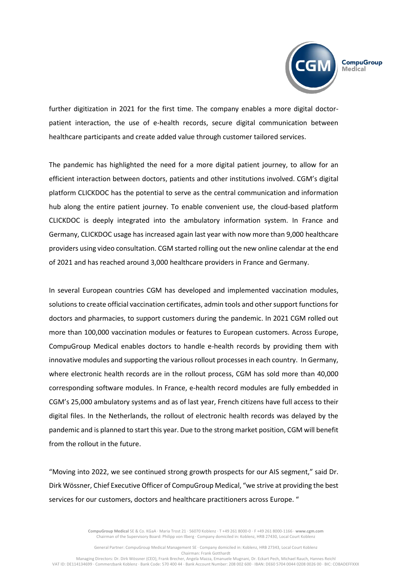

further digitization in 2021 for the first time. The company enables a more digital doctorpatient interaction, the use of e-health records, secure digital communication between healthcare participants and create added value through customer tailored services.

The pandemic has highlighted the need for a more digital patient journey, to allow for an efficient interaction between doctors, patients and other institutions involved. CGM's digital platform CLICKDOC has the potential to serve as the central communication and information hub along the entire patient journey. To enable convenient use, the cloud-based platform CLICKDOC is deeply integrated into the ambulatory information system. In France and Germany, CLICKDOC usage has increased again last year with now more than 9,000 healthcare providers using video consultation. CGM started rolling out the new online calendar at the end of 2021 and has reached around 3,000 healthcare providers in France and Germany.

In several European countries CGM has developed and implemented vaccination modules, solutions to create official vaccination certificates, admin tools and other support functions for doctors and pharmacies, to support customers during the pandemic. In 2021 CGM rolled out more than 100,000 vaccination modules or features to European customers. Across Europe, CompuGroup Medical enables doctors to handle e-health records by providing them with innovative modules and supporting the various rollout processes in each country. In Germany, where electronic health records are in the rollout process, CGM has sold more than 40,000 corresponding software modules. In France, e-health record modules are fully embedded in CGM's 25,000 ambulatory systems and as of last year, French citizens have full access to their digital files. In the Netherlands, the rollout of electronic health records was delayed by the pandemic and is planned to start this year. Due to the strong market position, CGM will benefit from the rollout in the future.

"Moving into 2022, we see continued strong growth prospects for our AIS segment," said Dr. Dirk Wössner, Chief Executive Officer of CompuGroup Medical, "we strive at providing the best services for our customers, doctors and healthcare practitioners across Europe. "

> **CompuGroup Medical** SE & Co. KGaA · Maria Trost 21 · 56070 Koblenz · T +49 261 8000-0 · F +49 261 8000-1166 · **www.cgm.com** Chairman of the Supervisory Board: Philipp von Ilberg · Company domiciled in: Koblenz, HRB 27430, Local Court Koblenz